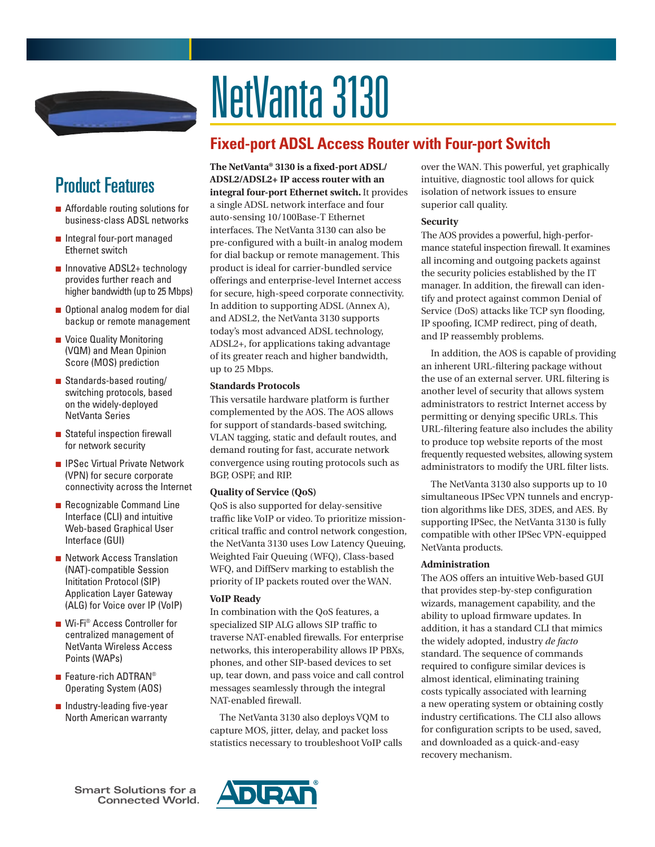

# NetVanta 3130

# **Fixed-port ADSL Access Router with Four-port Switch**

# Product Features

- Affordable routing solutions for business-class ADSL networks
- Integral four-port managed Ethernet switch
- Innovative ADSL2+ technology provides further reach and higher bandwidth (up to 25 Mbps)
- Optional analog modem for dial backup or remote management
- Voice Quality Monitoring (VQM) and Mean Opinion Score (MOS) prediction
- Standards-based routing/ switching protocols, based on the widely-deployed NetVanta Series
- Stateful inspection firewall for network security
- IPSec Virtual Private Network (VPN) for secure corporate connectivity across the Internet
- Recognizable Command Line Interface (CLI) and intuitive Web-based Graphical User Interface (GUI)
- Network Access Translation (NAT)-compatible Session Inititation Protocol (SIP) Application Layer Gateway (ALG) for Voice over IP (VoIP)
- Wi-Fi<sup>®</sup> Access Controller for centralized management of NetVanta Wireless Access Points (WAPs)
- Feature-rich ADTRAN<sup>®</sup> Operating System (AOS)
- Industry-leading five-year North American warranty

**The NetVanta® 3130 is a fixed-port ADSL/ ADSL2/ADSL2+ IP access router with an integral four-port Ethernet switch.** It provides a single ADSL network interface and four auto-sensing 10/100Base-T Ethernet interfaces. The NetVanta 3130 can also be pre-configured with a built-in analog modem for dial backup or remote management. This product is ideal for carrier-bundled service offerings and enterprise-level Internet access for secure, high-speed corporate connectivity. In addition to supporting ADSL (Annex A), and ADSL2, the NetVanta 3130 supports today's most advanced ADSL technology, ADSL2+, for applications taking advantage of its greater reach and higher bandwidth, up to 25 Mbps.

# **Standards Protocols**

This versatile hardware platform is further complemented by the AOS. The AOS allows for support of standards-based switching, VLAN tagging, static and default routes, and demand routing for fast, accurate network convergence using routing protocols such as BGP, OSPF, and RIP.

# **Quality of Service (QoS)**

QoS is also supported for delay-sensitive traffic like VoIP or video. To prioritize missioncritical traffic and control network congestion, the NetVanta 3130 uses Low Latency Queuing, Weighted Fair Queuing (WFQ), Class-based WFQ, and DiffServ marking to establish the priority of IP packets routed over the WAN.

# **VoIP Ready**

In combination with the QoS features, a specialized SIP ALG allows SIP traffic to traverse NAT-enabled firewalls. For enterprise networks, this interoperability allows IP PBXs, phones, and other SIP-based devices to set up, tear down, and pass voice and call control messages seamlessly through the integral NAT-enabled firewall.

The NetVanta 3130 also deploys VQM to capture MOS, jitter, delay, and packet loss statistics necessary to troubleshoot VoIP calls over the WAN. This powerful, yet graphically intuitive, diagnostic tool allows for quick isolation of network issues to ensure superior call quality.

# **Security**

The AOS provides a powerful, high-performance stateful inspection firewall. It examines all incoming and outgoing packets against the security policies established by the IT manager. In addition, the firewall can identify and protect against common Denial of Service (DoS) attacks like TCP syn flooding, IP spoofing, ICMP redirect, ping of death, and IP reassembly problems.

In addition, the AOS is capable of providing an inherent URL-filtering package without the use of an external server. URL filtering is another level of security that allows system administrators to restrict Internet access by permitting or denying specific URLs. This URL-filtering feature also includes the ability to produce top website reports of the most frequently requested websites, allowing system administrators to modify the URL filter lists.

The NetVanta 3130 also supports up to 10 simultaneous IPSec VPN tunnels and encryption algorithms like DES, 3DES, and AES. By supporting IPSec, the NetVanta 3130 is fully compatible with other IPSec VPN-equipped NetVanta products.

# **Administration**

The AOS offers an intuitive Web-based GUI that provides step-by-step configuration wizards, management capability, and the ability to upload firmware updates. In addition, it has a standard CLI that mimics the widely adopted, industry *de facto* standard. The sequence of commands required to configure similar devices is almost identical, eliminating training costs typically associated with learning a new operating system or obtaining costly industry certifications. The CLI also allows for configuration scripts to be used, saved, and downloaded as a quick-and-easy recovery mechanism.

**Smart Solutions for a Connected World.**